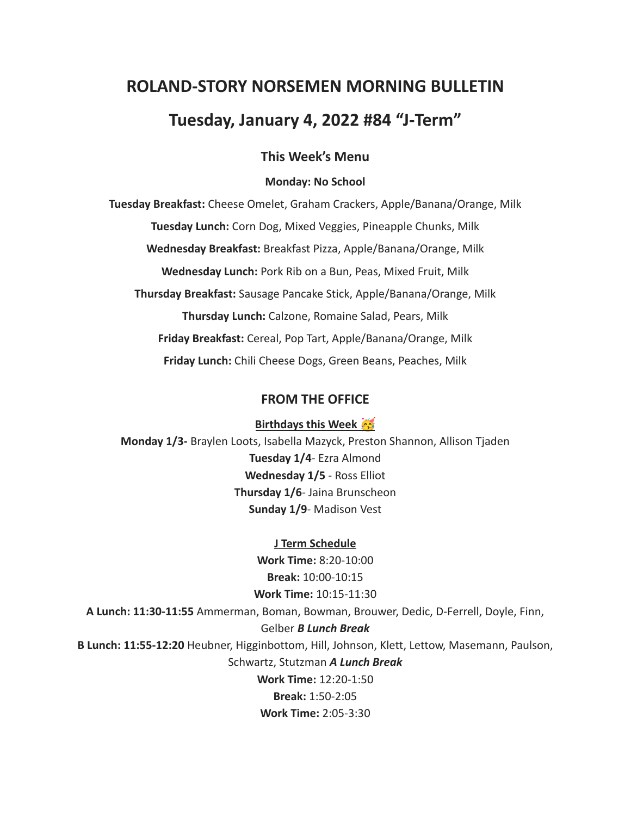# **ROLAND-STORY NORSEMEN MORNING BULLETIN**

# **Tuesday, January 4, 2022 #84 "J-Term"**

## **This Week's Menu**

#### **Monday: No School**

**Tuesday Breakfast:** Cheese Omelet, Graham Crackers, Apple/Banana/Orange, Milk **Tuesday Lunch:** Corn Dog, Mixed Veggies, Pineapple Chunks, Milk **Wednesday Breakfast:** Breakfast Pizza, Apple/Banana/Orange, Milk **Wednesday Lunch:** Pork Rib on a Bun, Peas, Mixed Fruit, Milk **Thursday Breakfast:** Sausage Pancake Stick, Apple/Banana/Orange, Milk **Thursday Lunch:** Calzone, Romaine Salad, Pears, Milk **Friday Breakfast:** Cereal, Pop Tart, Apple/Banana/Orange, Milk **Friday Lunch:** Chili Cheese Dogs, Green Beans, Peaches, Milk

# **FROM THE OFFICE**

**Birthdays this Week** 

**Monday 1/3-** Braylen Loots, Isabella Mazyck, Preston Shannon, Allison Tjaden **Tuesday 1/4**- Ezra Almond **Wednesday 1/5** - Ross Elliot **Thursday 1/6**- Jaina Brunscheon **Sunday 1/9**- Madison Vest

**J Term Schedule Work Time:** 8:20-10:00 **Break:** 10:00-10:15 **Work Time:** 10:15-11:30 **A Lunch: 11:30-11:55** Ammerman, Boman, Bowman, Brouwer, Dedic, D-Ferrell, Doyle, Finn, Gelber *B Lunch Break* **B Lunch: 11:55-12:20** Heubner, Higginbottom, Hill, Johnson, Klett, Lettow, Masemann, Paulson, Schwartz, Stutzman *A Lunch Break* **Work Time:** 12:20-1:50 **Break:** 1:50-2:05 **Work Time:** 2:05-3:30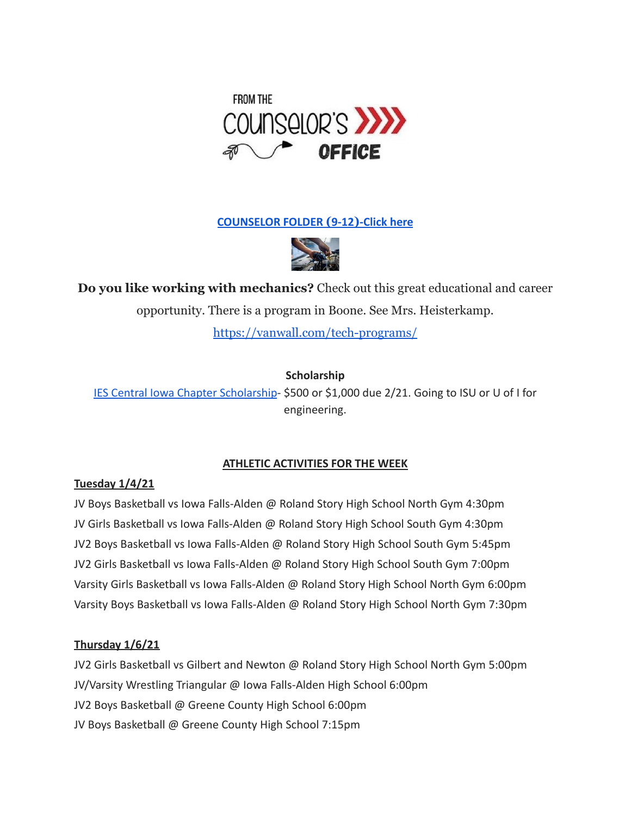

**[COUNSELOR FOLDER](https://docs.google.com/document/d/1vmwczNPbDzXe9vFaG5LJMQ7NYDv-i4oQJHybqA65TUc/edit?usp=sharing) (9-12)-Click here**



**Do you like working with mechanics?** Check out this great educational and career opportunity. There is a program in Boone. See Mrs. Heisterkamp.

<https://vanwall.com/tech-programs/>

# **Scholarship**

[IES Central Iowa Chapter Scholarship](https://drive.google.com/file/d/1TOCO584mY9ObCqCNa6kBs_Yjrn4wPSdj/view?usp=sharing)- \$500 or \$1,000 due 2/21. Going to ISU or U of I for engineering.

# **ATHLETIC ACTIVITIES FOR THE WEEK**

### **Tuesday 1/4/21**

JV Boys Basketball vs Iowa Falls-Alden @ Roland Story High School North Gym 4:30pm JV Girls Basketball vs Iowa Falls-Alden @ Roland Story High School South Gym 4:30pm JV2 Boys Basketball vs Iowa Falls-Alden @ Roland Story High School South Gym 5:45pm JV2 Girls Basketball vs Iowa Falls-Alden @ Roland Story High School South Gym 7:00pm Varsity Girls Basketball vs Iowa Falls-Alden @ Roland Story High School North Gym 6:00pm Varsity Boys Basketball vs Iowa Falls-Alden @ Roland Story High School North Gym 7:30pm

#### **Thursday 1/6/21**

JV2 Girls Basketball vs Gilbert and Newton @ Roland Story High School North Gym 5:00pm JV/Varsity Wrestling Triangular @ Iowa Falls-Alden High School 6:00pm JV2 Boys Basketball @ Greene County High School 6:00pm JV Boys Basketball @ Greene County High School 7:15pm